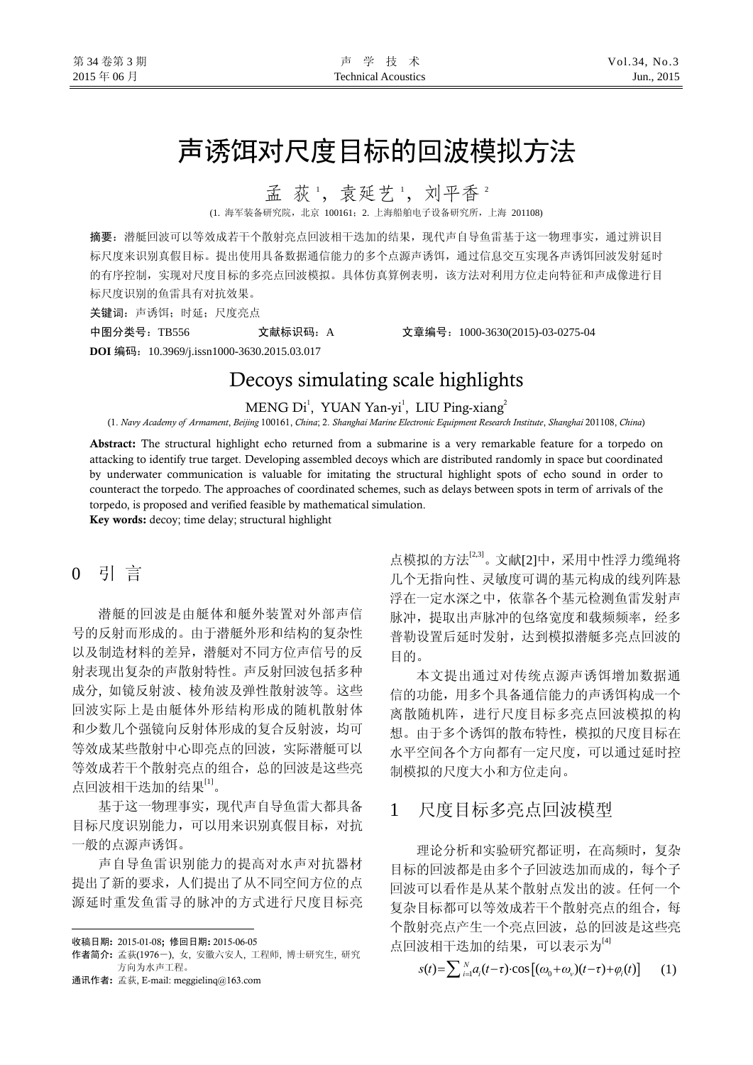# 声诱饵对尺度目标的回波模拟方法

孟 荻 ', 袁延艺 ', 刘平香 2

(1. 海军装备研究院,北京 100161;2. 上海船舶电子设备研究所,上海 201108)

摘要:潜艇回波可以等效成若干个散射亮点回波相干迭加的结果,现代声自导鱼雷基于这一物理事实,通过辨识目 标尺度来识别真假目标。提出使用具备数据通信能力的多个点源声诱饵,通过信息交互实现各声诱饵回波发射延时 的有序控制,实现对尺度目标的多亮点回波模拟。具体仿真算例表明,该方法对利用方位走向特征和声成像进行目 标尺度识别的鱼雷具有对抗效果。

关键词: 声诱饵;时延;尺度亮点

中图分类号:TB556 文献标识码:A 文章编号:1000-3630(2015)-03-0275-04 **DOI** 编码:10.3969/j.issn1000-3630.2015.03.017

# Decoys simulating scale highlights

MENG Di<sup>1</sup>, YUAN Yan-yi<sup>1</sup>, LIU Ping-xiang<sup>2</sup>

(1. *Navy Academy of Armament*, *Beijing* 100161, *China*; 2. *Shanghai Marine Electronic Equipment Research Institute*, *Shanghai* 201108, *China*)

Abstract: The structural highlight echo returned from a submarine is a very remarkable feature for a torpedo on attacking to identify true target. Developing assembled decoys which are distributed randomly in space but coordinated by underwater communication is valuable for imitating the structural highlight spots of echo sound in order to counteract the torpedo. The approaches of coordinated schemes, such as delays between spots in term of arrivals of the torpedo, is proposed and verified feasible by mathematical simulation.

Key words: decoy; time delay; structural highlight

## 0 引 言

潜艇的回波是由艇体和艇外装置对外部声信 号的反射而形成的。由于潜艇外形和结构的复杂性 以及制造材料的差异,潜艇对不同方位声信号的反 射表现出复杂的声散射特性。声反射回波包括多种 成分, 如镜反射波、棱角波及弹性散射波等。这些 回波实际上是由艇体外形结构形成的随机散射体 和少数几个强镜向反射体形成的复合反射波,均可 等效成某些散射中心即亮点的回波,实际潜艇可以 等效成若干个散射亮点的组合,总的回波是这些亮 点回波相干迭加的结果[1]。

基于这一物理事实,现代声自导鱼雷大都具备 目标尺度识别能力,可以用来识别真假目标,对抗 一般的点源声诱饵。

声自导鱼雷识别能力的提高对水声对抗器材 提出了新的要求,人们提出了从不同空间方位的点 源延时重发鱼雷寻的脉冲的方式进行尺度目标亮

 $\overline{a}$ 

点模拟的方法<sup>[2,3]</sup>。文献[2]中,采用中性浮力缆绳将 几个无指向性、灵敏度可调的基元构成的线列阵悬 浮在一定水深之中,依靠各个基元检测鱼雷发射声 脉冲, 提取出声脉冲的包络宽度和载频频率, 经多 普勒设置后延时发射,达到模拟潜艇多亮点回波的 目的。

本文提出通过对传统点源声诱饵增加数据通 信的功能,用多个具备通信能力的声诱饵构成一个 离散随机阵,进行尺度目标多亮点回波模拟的构 想。由于多个诱饵的散布特性,模拟的尺度目标在 水平空间各个方向都有一定尺度,可以通过延时控 制模拟的尺度大小和方位走向。

## 1 尺度目标多亮点回波模型

理论分析和实验研究都证明,在高频时,复杂 目标的回波都是由多个子回波迭加而成的,每个子 回波可以看作是从某个散射点发出的波。任何一个 复杂目标都可以等效成若干个散射亮点的组合,每 个散射亮点产生一个亮点回波,总的回波是这些亮 点回波相干迭加的结果,可以表示为[4]

 $S(t) = \sum_{i=1}^{N} a_i (t-\tau) \cdot \cos[(\omega_0 + \omega_0)(t-\tau) + \varphi_i(t)]$  (1)

收稿日期: 2015-01-08; 修回日期: 2015-06-05

作者简介: 孟荻(1976-), 女, 安徽六安人, 工程师, 博士研究生, 研究 方向为水声工程。

通讯作者: 孟荻, E-mail: meggielinq@163.com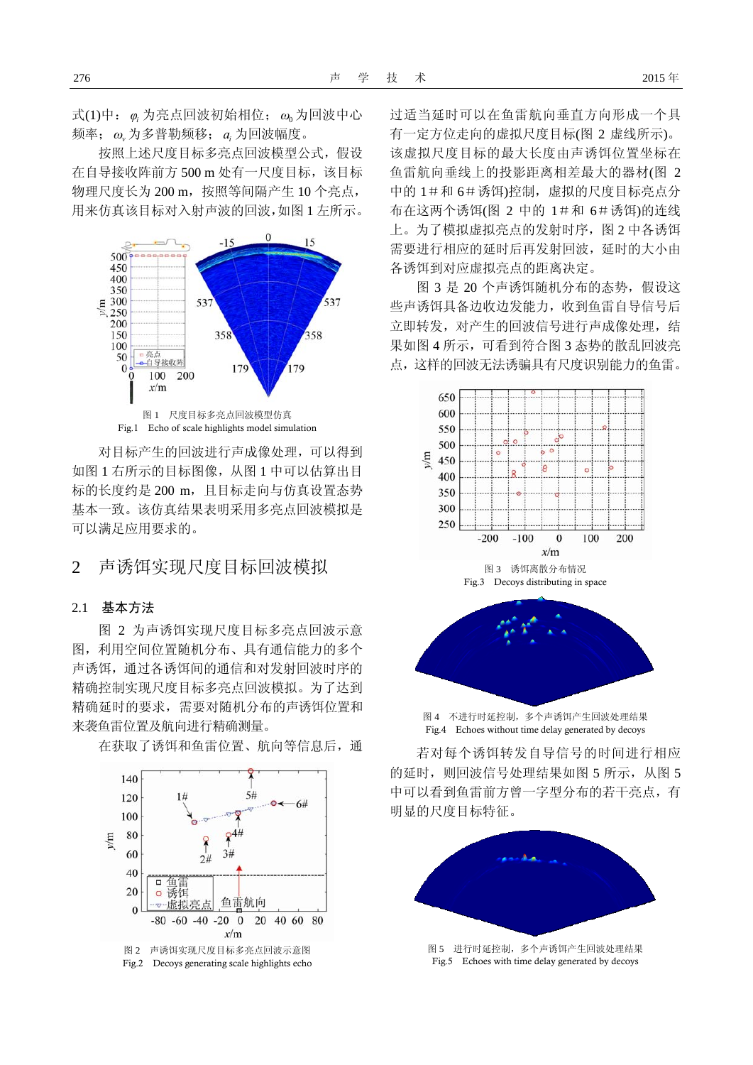式(1)中: 为亮点回波初始相位; 为回波中心 *φ<sup>i</sup> ω*<sup>0</sup> 频率; 为多普勒频移; 为回波幅度。 *ω<sup>v</sup> <sup>i</sup> a*

按照上述尺度目标多亮点回波模型公式,假设 在自导接收阵前方 500 m 处有一尺度目标, 该目标 物理尺度长为 200 m,按照等间隔产生 10 个亮点, 用来仿真该目标对入射声波的回波,如图 1 左所示。



Fig.1 Echo of scale highlights model simulation

对目标产生的回波进行声成像处理,可以得到 如图 1 右所示的目标图像,从图 1 中可以估算出目 标的长度约是 200 m, 且目标走向与仿真设置态势 基本一致。该仿真结果表明采用多亮点回波模拟是 可以满足应用要求的。

### 2 声诱饵实现尺度目标回波模拟

#### 2.1 基本方法

图 2 为声诱饵实现尺度目标多亮点回波示意 图,利用空间位置随机分布、具有通信能力的多个 声诱饵,通过各诱饵间的通信和对发射回波时序的 精确控制实现尺度目标多亮点回波模拟。为了达到 精确延时的要求,需要对随机分布的声诱饵位置和 来袭鱼雷位置及航向进行精确测量。

在获取了诱饵和鱼雷位置、航向等信息后,通



Fig.2 Decoys generating scale highlights echo

过适当延时可以在鱼雷航向垂直方向形成一个具 有一定方位走向的虚拟尺度目标(图 2 虚线所示)。 该虚拟尺度目标的最大长度由声诱饵位置坐标在 鱼雷航向垂线上的投影距离相差最大的器材(图 2 中的 1#和 6#诱饵)控制,虚拟的尺度目标亮点分 布在这两个诱饵(图 2 中的 1#和 6#诱饵)的连线 上。为了模拟虚拟亮点的发射时序,图 2 中各诱饵 需要进行相应的延时后再发射回波,延时的大小由 各诱饵到对应虚拟亮点的距离决定。

图 3 是 20 个声诱饵随机分布的态势, 假设这 些声诱饵具备边收边发能力,收到鱼雷自导信号后 立即转发,对产生的回波信号进行声成像处理,结 果如图 4 所示,可看到符合图 3 态势的散乱回波亮 点,这样的回波无法诱骗具有尺度识别能力的鱼雷。



图 4 不进行时延控制,多个声诱饵产生回波处理结果 Fig.4 Echoes without time delay generated by decoys

若对每个诱饵转发自导信号的时间进行相应 的延时,则回波信号处理结果如图 5 所示, 从图 5 中可以看到鱼雷前方曾一字型分布的若干亮点,有 明显的尺度目标特征。



Fig.5 Echoes with time delay generated by decoys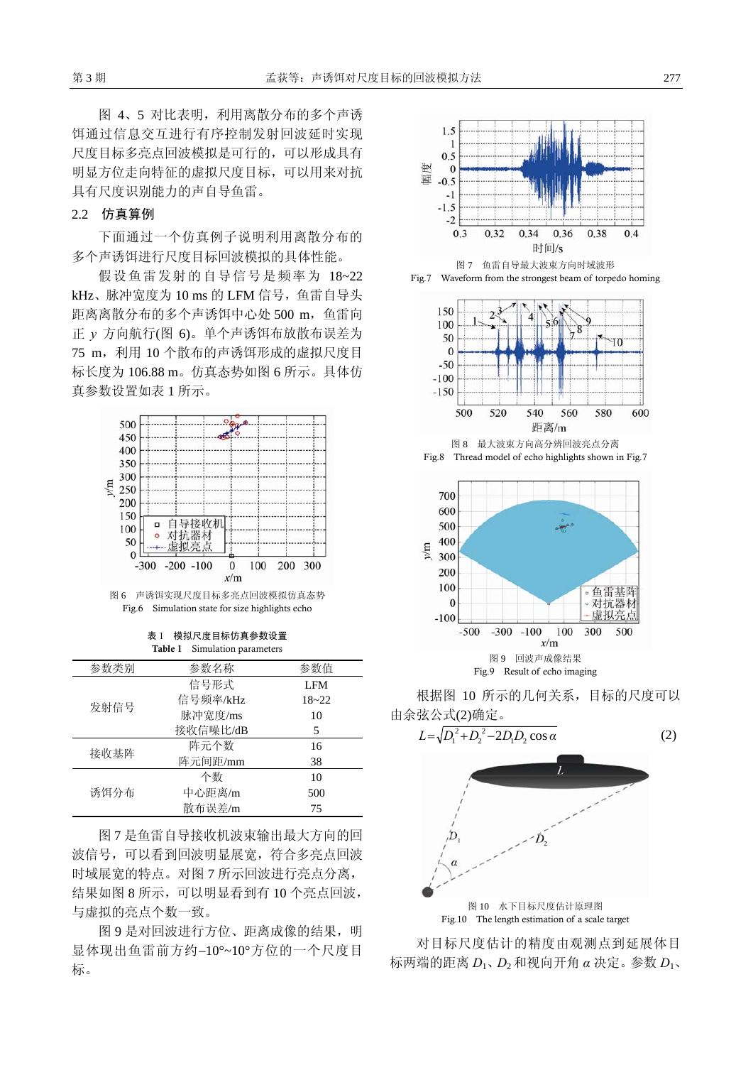图 4、5 对比表明,利用离散分布的多个声诱 饵通过信息交互进行有序控制发射回波延时实现 尺度目标多亮点回波模拟是可行的,可以形成具有 明显方位走向特征的虚拟尺度目标,可以用来对抗 具有尺度识别能力的声自导鱼雷。

#### 2.2 仿真算例

下面通过一个仿真例子说明利用离散分布的 多个声诱饵进行尺度目标回波模拟的具体性能。

假设鱼雷发射的自导信号是频率为 18~22 kHz、脉冲宽度为 10 ms 的 LFM 信号,鱼雷自导头 距离离散分布的多个声诱饵中心处 500 m, 鱼雷向 正 *y* 方向航行(图 6)。单个声诱饵布放散布误差为 75 m, 利用 10 个散布的声诱饵形成的虚拟尺度目 标长度为 106.88 m。仿真态势如图 6 所示。具体仿 真参数设置如表 1 所示。



图 6 声诱饵实现尺度目标多亮点回波模拟仿真态势 Fig.6 Simulation state for size highlights echo

表 1 模拟尺度目标仿真参数设置 Table 1 Simulation parameters

| 参数类别 | 参数名称     | 参数值       |
|------|----------|-----------|
| 发射信号 | 信号形式     | LFM       |
|      | 信号频率/kHz | $18 - 22$ |
|      | 脉冲宽度/ms  | 10        |
|      | 接收信噪比/dB | 5         |
| 接收基阵 | 阵元个数     | 16        |
|      | 阵元间距/mm  | 38        |
| 诱饵分布 | 个数       | 10        |
|      | 中心距离/m   | 500       |
|      | 散布误差/m   | 75        |

图 7 是鱼雷自导接收机波束输出最大方向的回 波信号,可以看到回波明显展宽,符合多亮点回波 时域展宽的特点。对图 7 所示回波进行亮点分离, 结果如图 8 所示,可以明显看到有 10 个亮点回波, 与虚拟的亮点个数一致。

图 9 是对回波进行方位、距离成像的结果, 明 显体现出鱼雷前方约−10°~10°方位的一个尺度目 标。



Fig.7 Waveform from the strongest beam of torpedo homing



Fig.8 Thread model of echo highlights shown in Fig.7



根据图 10 所示的几何关系,目标的尺度可以 由余弦公式(2)确定。



对目标尺度估计的精度由观测点到延展体目 标两端的距离 *D*1、*D*<sup>2</sup> 和视向开角 *α* 决定。参数 *D*1、